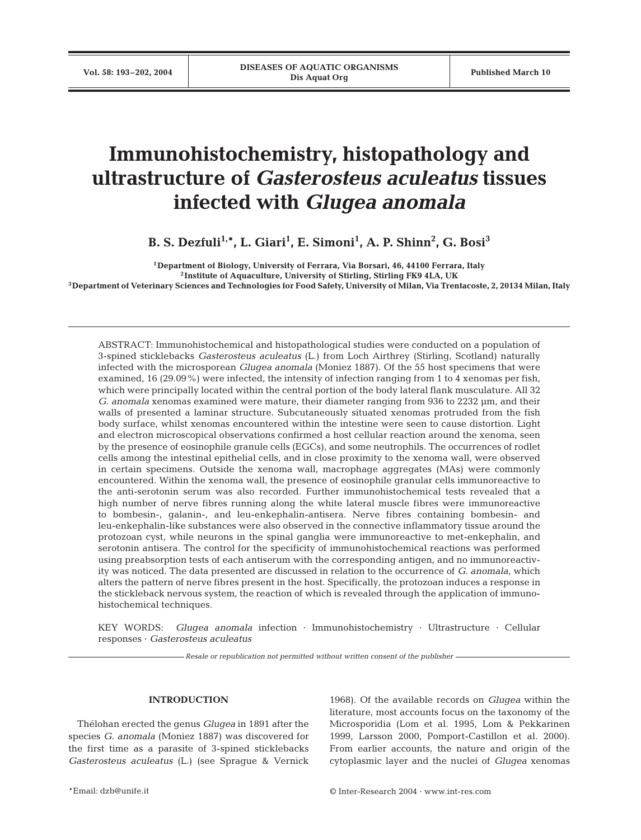# **Immunohistochemistry, histopathology and ultrastructure of** *Gasterosteus aculeatus* **tissues infected with** *Glugea anomala*

**B. S. Dezfuli** $^{1,\ast}$ **, L. Giari** $^1$ **, E. Simoni** $^1$ **, A. P. Shinn** $^2$ **, G. Bosi** $^3$ 

**1Department of Biology, University of Ferrara, Via Borsari, 46, 44100 Ferrara, Italy 2Institute of Aquaculture, University of Stirling, Stirling FK9 4LA, UK 3Department of Veterinary Sciences and Technologies for Food Safety, University of Milan, Via Trentacoste, 2, 20134 Milan, Italy**

ABSTRACT: Immunohistochemical and histopathological studies were conducted on a population of 3-spined sticklebacks *Gasterosteus aculeatus* (L.) from Loch Airthrey (Stirling, Scotland) naturally infected with the microsporean *Glugea anomala* (Moniez 1887). Of the 55 host specimens that were examined, 16 (29.09%) were infected, the intensity of infection ranging from 1 to 4 xenomas per fish, which were principally located within the central portion of the body lateral flank musculature. All 32 *G. anomala* xenomas examined were mature, their diameter ranging from 936 to 2232 µm, and their walls of presented a laminar structure. Subcutaneously situated xenomas protruded from the fish body surface, whilst xenomas encountered within the intestine were seen to cause distortion. Light and electron microscopical observations confirmed a host cellular reaction around the xenoma, seen by the presence of eosinophile granule cells (EGCs), and some neutrophils. The occurrences of rodlet cells among the intestinal epithelial cells, and in close proximity to the xenoma wall, were observed in certain specimens. Outside the xenoma wall, macrophage aggregates (MAs) were commonly encountered. Within the xenoma wall, the presence of eosinophile granular cells immunoreactive to the anti-serotonin serum was also recorded. Further immunohistochemical tests revealed that a high number of nerve fibres running along the white lateral muscle fibres were immunoreactive to bombesin-, galanin-, and leu-enkephalin-antisera. Nerve fibres containing bombesin- and leu-enkephalin-like substances were also observed in the connective inflammatory tissue around the protozoan cyst, while neurons in the spinal ganglia were immunoreactive to met-enkephalin, and serotonin antisera. The control for the specificity of immunohistochemical reactions was performed using preabsorption tests of each antiserum with the corresponding antigen, and no immunoreactivity was noticed. The data presented are discussed in relation to the occurrence of *G. anomala*, which alters the pattern of nerve fibres present in the host. Specifically, the protozoan induces a response in the stickleback nervous system, the reaction of which is revealed through the application of immunohistochemical techniques.

KEY WORDS: *Glugea anomala* infection · Immunohistochemistry · Ultrastructure · Cellular responses · *Gasterosteus aculeatus*

*Resale or republication not permitted without written consent of the publisher*

## **INTRODUCTION**

Thélohan erected the genus *Glugea* in 1891 after the species *G. anomala* (Moniez 1887) was discovered for the first time as a parasite of 3-spined sticklebacks *Gasterosteus aculeatus* (L.) (see Sprague & Vernick

1968). Of the available records on *Glugea* within the literature, most accounts focus on the taxonomy of the Microsporidia (Lom et al. 1995, Lom & Pekkarinen 1999, Larsson 2000, Pomport-Castillon et al. 2000). From earlier accounts, the nature and origin of the cytoplasmic layer and the nuclei of *Glugea* xenomas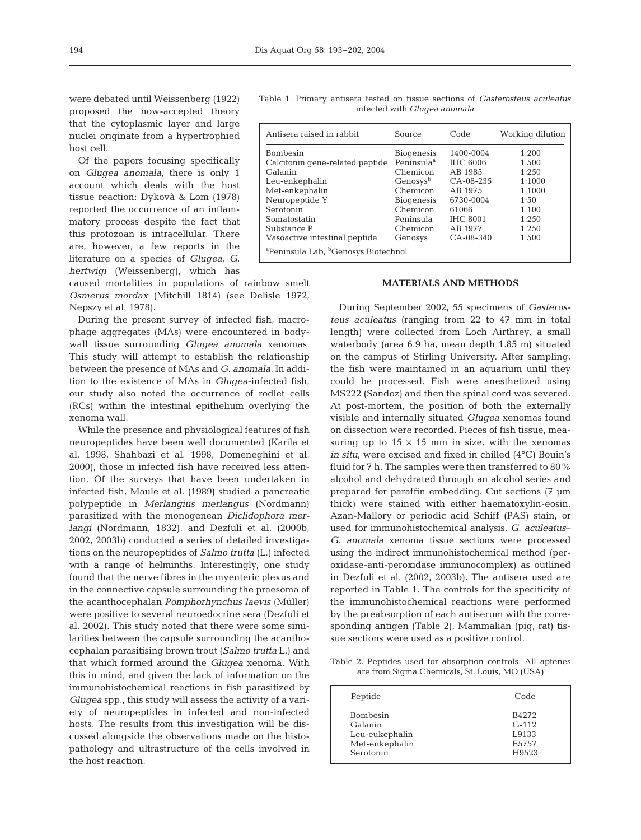were debated until Weissenberg (1922) proposed the now-accepted theory that the cytoplasmic layer and large nuclei originate from a hypertrophied host cell.

Of the papers focusing specifically on *Glugea anomala*, there is only 1 account which deals with the host tissue reaction: Dykovà & Lom (1978) reported the occurrence of an inflammatory process despite the fact that this protozoan is intracellular. There are, however, a few reports in the literature on a species of *Glugea*, *G. hertwigi* (Weissenberg), which has

caused mortalities in populations of rainbow smelt *Osmerus mordax* (Mitchill 1814) (see Delisle 1972, Nepszy et al. 1978).

During the present survey of infected fish, macrophage aggregates (MAs) were encountered in bodywall tissue surrounding *Glugea anomala* xenomas. This study will attempt to establish the relationship between the presence of MAs and *G. anomala*. In addition to the existence of MAs in *Glugea*-infected fish, our study also noted the occurrence of rodlet cells (RCs) within the intestinal epithelium overlying the xenoma wall.

While the presence and physiological features of fish neuropeptides have been well documented (Karila et al. 1998, Shahbazi et al. 1998, Domeneghini et al. 2000), those in infected fish have received less attention. Of the surveys that have been undertaken in infected fish, Maule et al. (1989) studied a pancreatic polypeptide in *Merlangius merlangus* (Nordmann) parasitized with the monogenean *Diclidophora merlangi* (Nordmann, 1832), and Dezfuli et al. (2000b, 2002, 2003b) conducted a series of detailed investigations on the neuropeptides of *Salmo trutta* (L.) infected with a range of helminths. Interestingly, one study found that the nerve fibres in the myenteric plexus and in the connective capsule surrounding the praesoma of the acanthocephalan *Pomphorhynchus laevis* (Müller) were positive to several neuroedocrine sera (Dezfuli et al. 2002). This study noted that there were some similarities between the capsule surrounding the acanthocephalan parasitising brown trout (*Salmo trutta* L.) and that which formed around the *Glugea* xenoma. With this in mind, and given the lack of information on the immunohistochemical reactions in fish parasitized by *Glugea* spp., this study will assess the activity of a variety of neuropeptides in infected and non-infected hosts. The results from this investigation will be discussed alongside the observations made on the histopathology and ultrastructure of the cells involved in the host reaction.

Table 1. Primary antisera tested on tissue sections of *Gasterosteus aculeatus* infected with *Glugea anomala*

| Antisera raised in rabbit                                   | Source                 | Code            | Working dilution |  |
|-------------------------------------------------------------|------------------------|-----------------|------------------|--|
| <b>Bombesin</b>                                             | <b>Biogenesis</b>      | 1400-0004       | 1:200            |  |
| Calcitonin gene-related peptide                             | Peninsula <sup>a</sup> | <b>IHC 6006</b> | 1:500            |  |
| Galanin                                                     | Chemicon               | AB 1985         | 1:250            |  |
| Leu-enkephalin                                              | Genosys <sup>b</sup>   | $CA - 08 - 235$ | 1:1000           |  |
| Met-enkephalin                                              | Chemicon               | AB 1975         | 1:1000           |  |
| Neuropeptide Y                                              | <b>Biogenesis</b>      | 6730-0004       | 1:50             |  |
| Serotonin                                                   | Chemicon               | 61066           | 1:100            |  |
| Somatostatin                                                | Peninsula              | <b>IHC 8001</b> | 1:250            |  |
| Substance P                                                 | Chemicon               | AB 1977         | 1:250            |  |
| Vasoactive intestinal peptide                               | Genosys                | $CA - 08 - 340$ | 1:500            |  |
| <sup>a</sup> Peninsula Lab, <sup>b</sup> Genosys Biotechnol |                        |                 |                  |  |

## **MATERIALS AND METHODS**

During September 2002, 55 specimens of *Gasterosteus aculeatus* (ranging from 22 to 47 mm in total length) were collected from Loch Airthrey, a small waterbody (area 6.9 ha, mean depth 1.85 m) situated on the campus of Stirling University. After sampling, the fish were maintained in an aquarium until they could be processed. Fish were anesthetized using MS222 (Sandoz) and then the spinal cord was severed. At post-mortem, the position of both the externally visible and internally situated *Glugea* xenomas found on dissection were recorded. Pieces of fish tissue, measuring up to  $15 \times 15$  mm in size, with the xenomas *in situ*, were excised and fixed in chilled (4°C) Bouin's fluid for 7 h. The samples were then transferred to 80% alcohol and dehydrated through an alcohol series and prepared for paraffin embedding. Cut sections (7 µm thick) were stained with either haematoxylin-eosin, Azan-Mallory or periodic acid Schiff (PAS) stain, or used for immunohistochemical analysis. *G. aculeatus*– *G. anomala* xenoma tissue sections were processed using the indirect immunohistochemical method (peroxidase-anti-peroxidase immunocomplex) as outlined in Dezfuli et al. (2002, 2003b). The antisera used are reported in Table 1. The controls for the specificity of the immunohistochemical reactions were performed by the preabsorption of each antiserum with the corresponding antigen (Table 2). Mammalian (pig, rat) tissue sections were used as a positive control.

Table 2. Peptides used for absorption controls. All aptenes are from Sigma Chemicals, St. Louis, MO (USA)

| Peptide                                      | Code                               |
|----------------------------------------------|------------------------------------|
| <b>Bombesin</b><br>Galanin<br>Leu-eukephalin | B4272<br>$G-112$<br>L9133<br>E5757 |
| Met-enkephalin<br>Serotonin                  | H9523                              |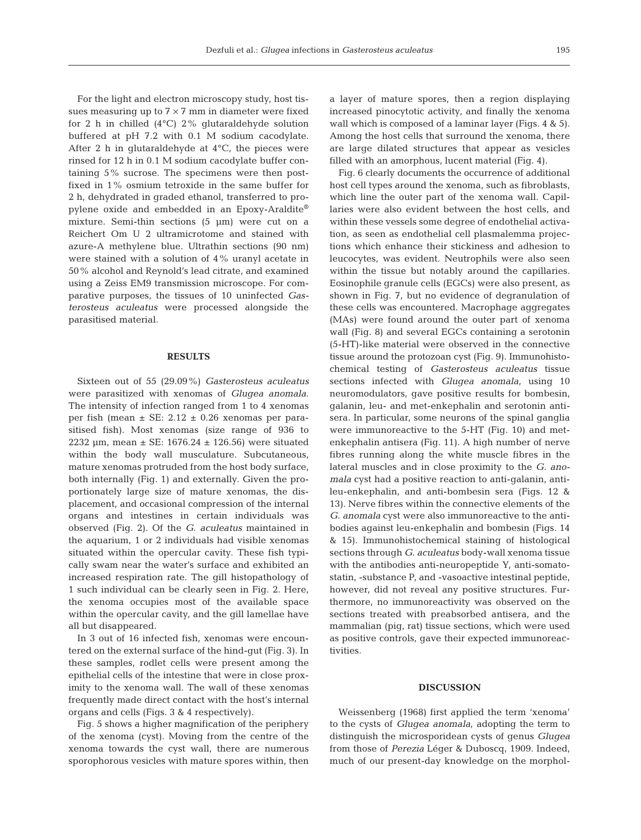For the light and electron microscopy study, host tissues measuring up to  $7 \times 7$  mm in diameter were fixed for 2 h in chilled (4°C) 2% glutaraldehyde solution buffered at pH 7.2 with 0.1 M sodium cacodylate. After 2 h in glutaraldehyde at  $4^{\circ}$ C, the pieces were rinsed for 12 h in 0.1 M sodium cacodylate buffer containing 5% sucrose. The specimens were then postfixed in 1% osmium tetroxide in the same buffer for 2 h, dehydrated in graded ethanol, transferred to propylene oxide and embedded in an Epoxy-Araldite® mixture. Semi-thin sections (5 µm) were cut on a Reichert Om U 2 ultramicrotome and stained with azure-A methylene blue. Ultrathin sections (90 nm) were stained with a solution of 4% uranyl acetate in 50% alcohol and Reynold's lead citrate, and examined using a Zeiss EM9 transmission microscope. For comparative purposes, the tissues of 10 uninfected *Gasterosteus aculeatus* were processed alongside the parasitised material.

### **RESULTS**

Sixteen out of 55 (29.09%) *Gasterosteus aculeatus* were parasitized with xenomas of *Glugea anomala*. The intensity of infection ranged from 1 to 4 xenomas per fish (mean  $\pm$  SE: 2.12  $\pm$  0.26 xenomas per parasitised fish). Most xenomas (size range of 936 to 2232 µm, mean  $\pm$  SE: 1676.24  $\pm$  126.56) were situated within the body wall musculature. Subcutaneous, mature xenomas protruded from the host body surface, both internally (Fig. 1) and externally. Given the proportionately large size of mature xenomas, the displacement, and occasional compression of the internal organs and intestines in certain individuals was observed (Fig. 2). Of the *G. aculeatus* maintained in the aquarium, 1 or 2 individuals had visible xenomas situated within the opercular cavity. These fish typically swam near the water's surface and exhibited an increased respiration rate. The gill histopathology of 1 such individual can be clearly seen in Fig. 2. Here, the xenoma occupies most of the available space within the opercular cavity, and the gill lamellae have all but disappeared.

In 3 out of 16 infected fish, xenomas were encountered on the external surface of the hind-gut (Fig. 3). In these samples, rodlet cells were present among the epithelial cells of the intestine that were in close proximity to the xenoma wall. The wall of these xenomas frequently made direct contact with the host's internal organs and cells (Figs. 3 & 4 respectively).

Fig. 5 shows a higher magnification of the periphery of the xenoma (cyst). Moving from the centre of the xenoma towards the cyst wall, there are numerous sporophorous vesicles with mature spores within, then

a layer of mature spores, then a region displaying increased pinocytotic activity, and finally the xenoma wall which is composed of a laminar layer (Figs. 4 & 5). Among the host cells that surround the xenoma, there are large dilated structures that appear as vesicles filled with an amorphous, lucent material (Fig. 4).

Fig. 6 clearly documents the occurrence of additional host cell types around the xenoma, such as fibroblasts, which line the outer part of the xenoma wall. Capillaries were also evident between the host cells, and within these vessels some degree of endothelial activation, as seen as endothelial cell plasmalemma projections which enhance their stickiness and adhesion to leucocytes, was evident. Neutrophils were also seen within the tissue but notably around the capillaries. Eosinophile granule cells (EGCs) were also present, as shown in Fig. 7, but no evidence of degranulation of these cells was encountered. Macrophage aggregates (MAs) were found around the outer part of xenoma wall (Fig. 8) and several EGCs containing a serotonin (5-HT)-like material were observed in the connective tissue around the protozoan cyst (Fig. 9). Immunohistochemical testing of *Gasterosteus aculeatus* tissue sections infected with *Glugea anomala*, using 10 neuromodulators, gave positive results for bombesin, galanin, leu- and met-enkephalin and serotonin antisera. In particular, some neurons of the spinal ganglia were immunoreactive to the 5-HT (Fig. 10) and metenkephalin antisera (Fig. 11). A high number of nerve fibres running along the white muscle fibres in the lateral muscles and in close proximity to the *G. anomala* cyst had a positive reaction to anti-galanin, antileu-enkephalin, and anti-bombesin sera (Figs. 12 & 13). Nerve fibres within the connective elements of the *G. anomala* cyst were also immunoreactive to the antibodies against leu-enkephalin and bombesin (Figs. 14 & 15). Immunohistochemical staining of histological sections through *G. aculeatus* body-wall xenoma tissue with the antibodies anti-neuropeptide Y, anti-somatostatin, -substance P, and -vasoactive intestinal peptide, however, did not reveal any positive structures. Furthermore, no immunoreactivity was observed on the sections treated with preabsorbed antisera, and the mammalian (pig, rat) tissue sections, which were used as positive controls, gave their expected immunoreactivities.

#### **DISCUSSION**

Weissenberg (1968) first applied the term 'xenoma' to the cysts of *Glugea anomala*, adopting the term to distinguish the microsporidean cysts of genus *Glugea* from those of *Perezia* Léger & Duboscq, 1909. Indeed, much of our present-day knowledge on the morphol-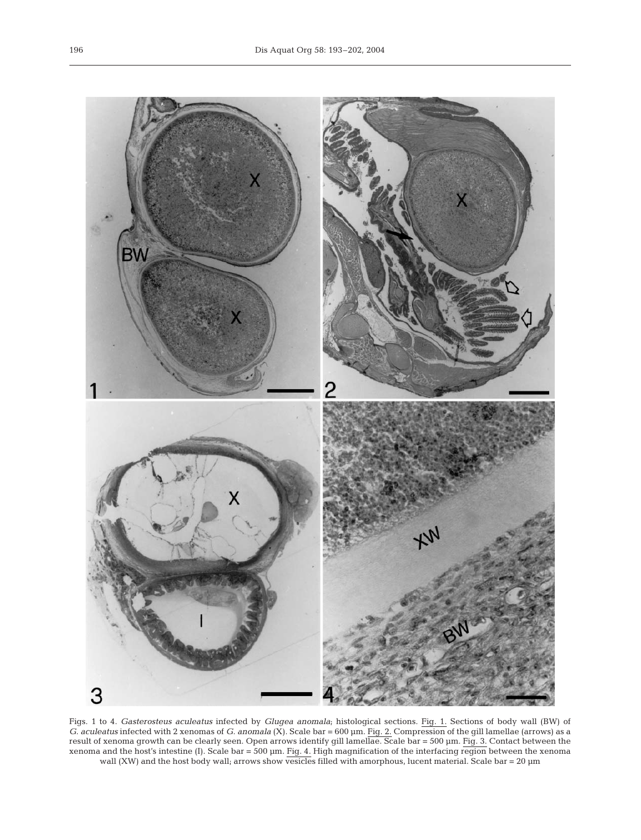

Figs. 1 to 4. *Gasterosteus aculeatus* infected by *Glugea anomala*; histological sections. Fig. 1. Sections of body wall (BW) of *G. aculeatus* infected with 2 xenomas of *G. anomala* (X). Scale bar = 600 µm. Fig. 2. Compression of the gill lamellae (arrows) as a result of xenoma growth can be clearly seen. Open arrows identify gill lamellae. Scale bar = 500 µm. Fig. 3. Contact between the xenoma and the host's intestine (I). Scale bar = 500 µm. Fig. 4. High magnification of the interfacing region between the xenoma wall (XW) and the host body wall; arrows show vesicles filled with amorphous, lucent material. Scale bar = 20 µm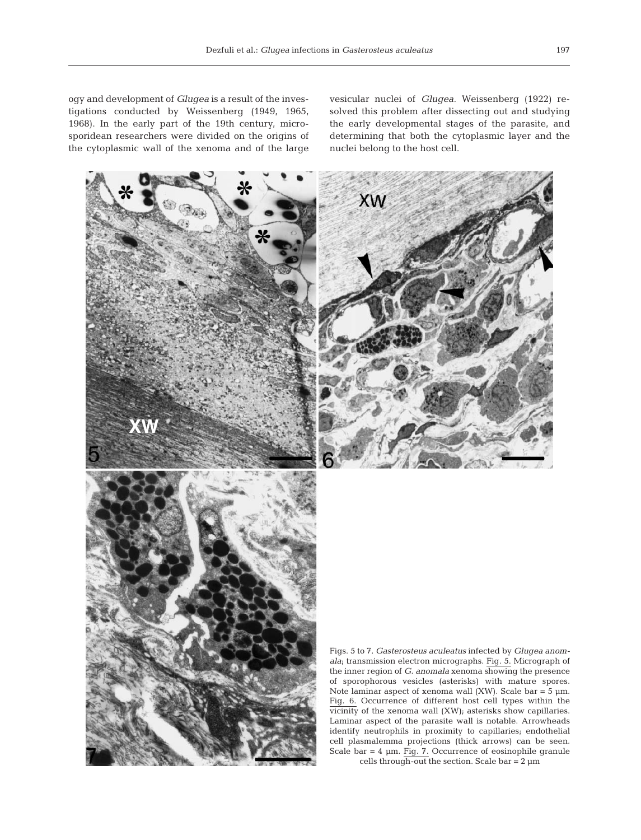XW

vesicular nuclei of *Glugea*. Weissenberg (1922) resolved this problem after dissecting out and studying the early developmental stages of the parasite, and determining that both the cytoplasmic layer and the nuclei belong to the host cell.



Figs. 5 to 7. *Gasterosteus aculeatus* infected by *Glugea anomala*; transmission electron micrographs. Fig. 5. Micrograph of the inner region of *G. anomala* xenoma showing the presence of sporophorous vesicles (asterisks) with mature spores. Note laminar aspect of xenoma wall (XW). Scale bar  $=$  5  $\mu$ m. Fig. 6. Occurrence of different host cell types within the vicinity of the xenoma wall (XW); asterisks show capillaries. Laminar aspect of the parasite wall is notable. Arrowheads identify neutrophils in proximity to capillaries; endothelial cell plasmalemma projections (thick arrows) can be seen. Scale bar = 4 µm. Fig. 7. Occurrence of eosinophile granule cells through-out the section. Scale bar =  $2 \mu m$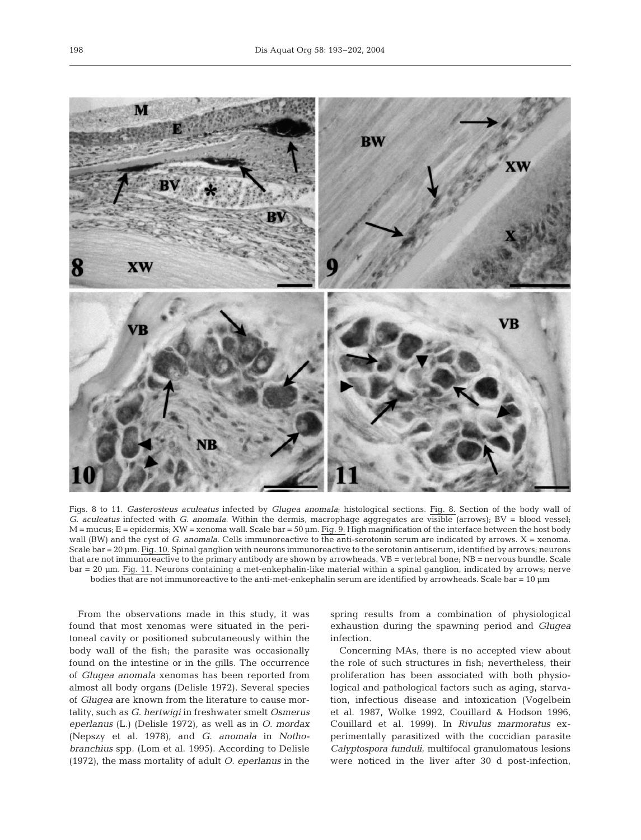

Figs. 8 to 11. *Gasterosteus aculeatus* infected by *Glugea anomala*; histological sections. Fig. 8. Section of the body wall of *G. aculeatus* infected with *G. anomala*. Within the dermis, macrophage aggregates are visible (arrows); BV = blood vessel;  $M =$  mucus;  $E =$  epidermis;  $XW =$  xenoma wall. Scale bar = 50 µm. Fig. 9. High magnification of the interface between the host body wall (BW) and the cyst of *G. anomala*. Cells immunoreactive to the anti-serotonin serum are indicated by arrows. X = xenoma. Scale bar = 20 µm. Fig. 10. Spinal ganglion with neurons immunoreactive to the serotonin antiserum, identified by arrows; neurons that are not immunoreactive to the primary antibody are shown by arrowheads. VB = vertebral bone; NB = nervous bundle. Scale bar = 20 µm. Fig. 11. Neurons containing a met-enkephalin-like material within a spinal ganglion, indicated by arrows; nerve bodies that are not immunoreactive to the anti-met-enkephalin serum are identified by arrowheads. Scale bar = 10 µm

From the observations made in this study, it was found that most xenomas were situated in the peritoneal cavity or positioned subcutaneously within the body wall of the fish; the parasite was occasionally found on the intestine or in the gills. The occurrence of *Glugea anomala* xenomas has been reported from almost all body organs (Delisle 1972). Several species of *Glugea* are known from the literature to cause mortality, such as *G. hertwigi* in freshwater smelt *Osmerus eperlanus* (L.) (Delisle 1972), as well as in *O. mordax* (Nepszy et al. 1978), and *G. anomala* in *Nothobranchius* spp. (Lom et al. 1995). According to Delisle (1972), the mass mortality of adult *O. eperlanus* in the

spring results from a combination of physiological exhaustion during the spawning period and *Glugea* infection.

Concerning MAs, there is no accepted view about the role of such structures in fish; nevertheless, their proliferation has been associated with both physiological and pathological factors such as aging, starvation, infectious disease and intoxication (Vogelbein et al. 1987, Wolke 1992, Couillard & Hodson 1996, Couillard et al. 1999). In *Rivulus marmoratus* experimentally parasitized with the coccidian parasite *Calyptospora funduli*, multifocal granulomatous lesions were noticed in the liver after 30 d post-infection,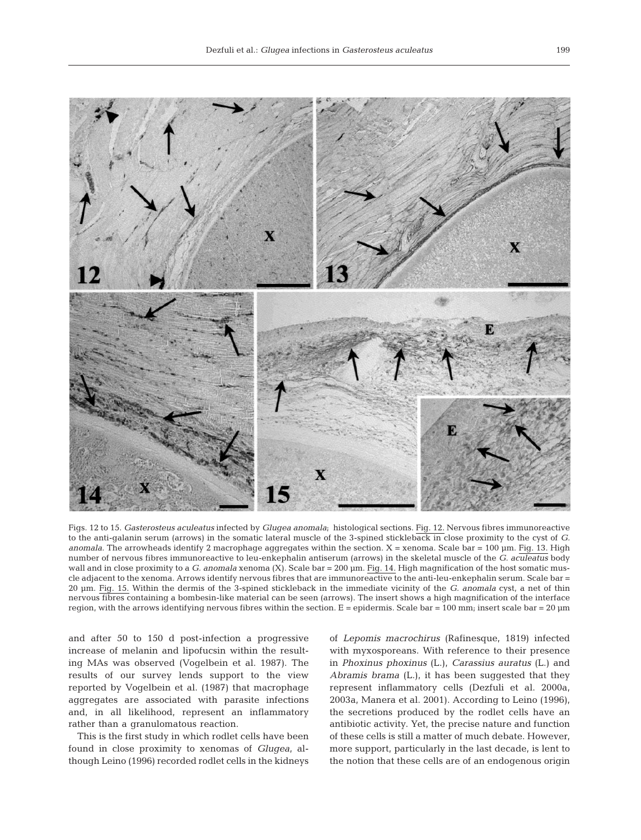

Figs. 12 to 15. *Gasterosteus aculeatus* infected by *Glugea anomala*; histological sections. Fig. 12. Nervous fibres immunoreactive to the anti-galanin serum (arrows) in the somatic lateral muscle of the 3-spined stickleback in close proximity to the cyst of *G. anomala*. The arrowheads identify 2 macrophage aggregates within the section. X = xenoma. Scale bar = 100 µm. Fig. 13. High number of nervous fibres immunoreactive to leu-enkephalin antiserum (arrows) in the skeletal muscle of the *G. aculeatus* body wall and in close proximity to a *G. anomala* xenoma (X). Scale bar = 200 µm. Fig. 14. High magnification of the host somatic muscle adjacent to the xenoma. Arrows identify nervous fibres that are immunoreactive to the anti-leu-enkephalin serum. Scale bar = 20 µm. Fig. 15. Within the dermis of the 3-spined stickleback in the immediate vicinity of the *G. anomala* cyst, a net of thin nervous fibres containing a bombesin-like material can be seen (arrows). The insert shows a high magnification of the interface region, with the arrows identifying nervous fibres within the section. E = epidermis. Scale bar = 100 mm; insert scale bar = 20  $\mu$ m

and after 50 to 150 d post-infection a progressive increase of melanin and lipofucsin within the resulting MAs was observed (Vogelbein et al. 1987). The results of our survey lends support to the view reported by Vogelbein et al. (1987) that macrophage aggregates are associated with parasite infections and, in all likelihood, represent an inflammatory rather than a granulomatous reaction.

This is the first study in which rodlet cells have been found in close proximity to xenomas of *Glugea*, although Leino (1996) recorded rodlet cells in the kidneys

of *Lepomis macrochirus* (Rafinesque, 1819) infected with myxosporeans. With reference to their presence in *Phoxinus phoxinus* (L.), *Carassius auratus* (L.) and *Abramis brama* (L.), it has been suggested that they represent inflammatory cells (Dezfuli et al. 2000a, 2003a, Manera et al. 2001). According to Leino (1996), the secretions produced by the rodlet cells have an antibiotic activity. Yet, the precise nature and function of these cells is still a matter of much debate. However, more support, particularly in the last decade, is lent to the notion that these cells are of an endogenous origin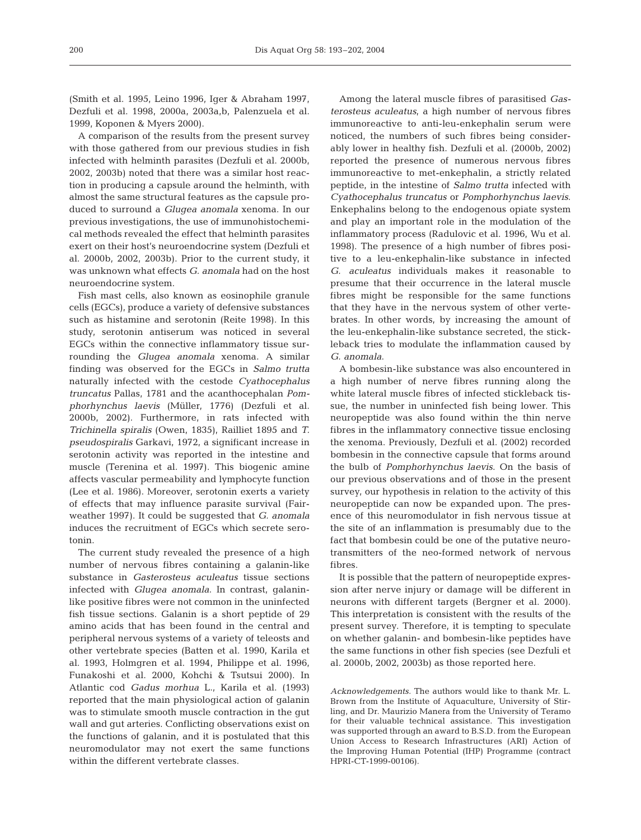(Smith et al. 1995, Leino 1996, Iger & Abraham 1997, Dezfuli et al. 1998, 2000a, 2003a,b, Palenzuela et al. 1999, Koponen & Myers 2000).

A comparison of the results from the present survey with those gathered from our previous studies in fish infected with helminth parasites (Dezfuli et al. 2000b, 2002, 2003b) noted that there was a similar host reaction in producing a capsule around the helminth, with almost the same structural features as the capsule produced to surround a *Glugea anomala* xenoma. In our previous investigations, the use of immunohistochemical methods revealed the effect that helminth parasites exert on their host's neuroendocrine system (Dezfuli et al. 2000b, 2002, 2003b). Prior to the current study, it was unknown what effects *G. anomala* had on the host neuroendocrine system.

Fish mast cells, also known as eosinophile granule cells (EGCs), produce a variety of defensive substances such as histamine and serotonin (Reite 1998). In this study, serotonin antiserum was noticed in several EGCs within the connective inflammatory tissue surrounding the *Glugea anomala* xenoma. A similar finding was observed for the EGCs in *Salmo trutta* naturally infected with the cestode *Cyathocephalus truncatus* Pallas, 1781 and the acanthocephalan *Pomphorhynchus laevis* (Müller, 1776) (Dezfuli et al. 2000b, 2002). Furthermore, in rats infected with *Trichinella spiralis* (Owen, 1835), Railliet 1895 and *T. pseudospiralis* Garkavi, 1972, a significant increase in serotonin activity was reported in the intestine and muscle (Terenina et al. 1997). This biogenic amine affects vascular permeability and lymphocyte function (Lee et al. 1986). Moreover, serotonin exerts a variety of effects that may influence parasite survival (Fairweather 1997). It could be suggested that *G. anomala* induces the recruitment of EGCs which secrete serotonin.

The current study revealed the presence of a high number of nervous fibres containing a galanin-like substance in *Gasterosteus aculeatus* tissue sections infected with *Glugea anomala*. In contrast, galaninlike positive fibres were not common in the uninfected fish tissue sections. Galanin is a short peptide of 29 amino acids that has been found in the central and peripheral nervous systems of a variety of teleosts and other vertebrate species (Batten et al. 1990, Karila et al. 1993, Holmgren et al. 1994, Philippe et al. 1996, Funakoshi et al. 2000, Kohchi & Tsutsui 2000). In Atlantic cod *Gadus morhua* L., Karila et al. (1993) reported that the main physiological action of galanin was to stimulate smooth muscle contraction in the gut wall and gut arteries. Conflicting observations exist on the functions of galanin, and it is postulated that this neuromodulator may not exert the same functions within the different vertebrate classes.

Among the lateral muscle fibres of parasitised *Gasterosteus aculeatus*, a high number of nervous fibres immunoreactive to anti-leu-enkephalin serum were noticed, the numbers of such fibres being considerably lower in healthy fish. Dezfuli et al. (2000b, 2002) reported the presence of numerous nervous fibres immunoreactive to met-enkephalin, a strictly related peptide, in the intestine of *Salmo trutta* infected with *Cyathocephalus truncatus* or *Pomphorhynchus laevis*. Enkephalins belong to the endogenous opiate system and play an important role in the modulation of the inflammatory process (Radulovic et al. 1996, Wu et al. 1998). The presence of a high number of fibres positive to a leu-enkephalin-like substance in infected *G. aculeatus* individuals makes it reasonable to presume that their occurrence in the lateral muscle fibres might be responsible for the same functions that they have in the nervous system of other vertebrates. In other words, by increasing the amount of the leu-enkephalin-like substance secreted, the stickleback tries to modulate the inflammation caused by *G. anomala*.

A bombesin-like substance was also encountered in a high number of nerve fibres running along the white lateral muscle fibres of infected stickleback tissue, the number in uninfected fish being lower. This neuropeptide was also found within the thin nerve fibres in the inflammatory connective tissue enclosing the xenoma. Previously, Dezfuli et al. (2002) recorded bombesin in the connective capsule that forms around the bulb of *Pomphorhynchus laevis*. On the basis of our previous observations and of those in the present survey, our hypothesis in relation to the activity of this neuropeptide can now be expanded upon. The presence of this neuromodulator in fish nervous tissue at the site of an inflammation is presumably due to the fact that bombesin could be one of the putative neurotransmitters of the neo-formed network of nervous fibres.

It is possible that the pattern of neuropeptide expression after nerve injury or damage will be different in neurons with different targets (Bergner et al. 2000). This interpretation is consistent with the results of the present survey. Therefore, it is tempting to speculate on whether galanin- and bombesin-like peptides have the same functions in other fish species (see Dezfuli et al. 2000b, 2002, 2003b) as those reported here.

*Acknowledgements.* The authors would like to thank Mr. L. Brown from the Institute of Aquaculture, University of Stirling, and Dr. Maurizio Manera from the University of Teramo for their valuable technical assistance. This investigation was supported through an award to B.S.D. from the European Union Access to Research Infrastructures (ARI) Action of the Improving Human Potential (IHP) Programme (contract HPRI-CT-1999-00106).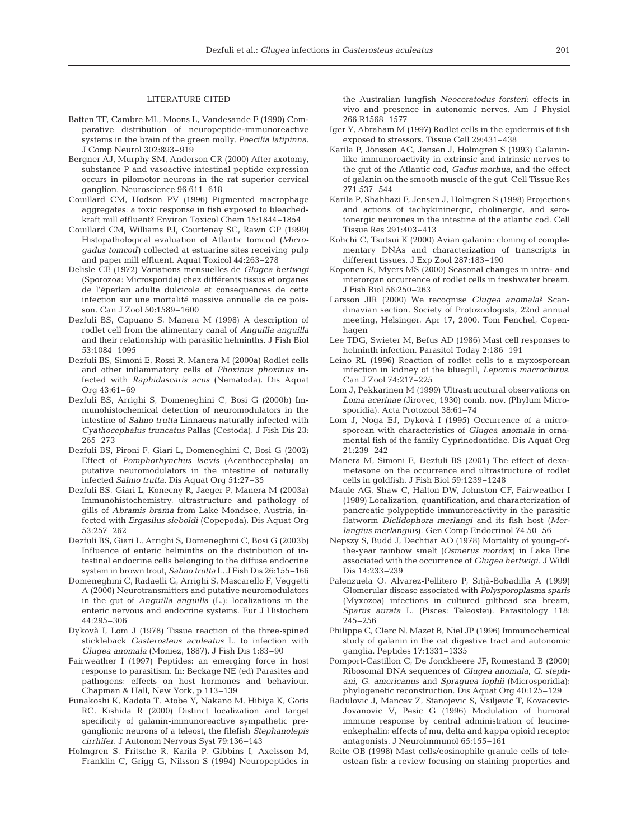### LITERATURE CITED

- Batten TF, Cambre ML, Moons L, Vandesande F (1990) Comparative distribution of neuropeptide-immunoreactive systems in the brain of the green molly, *Poecilia latipinna*. J Comp Neurol 302:893–919
- Bergner AJ, Murphy SM, Anderson CR (2000) After axotomy, substance P and vasoactive intestinal peptide expression occurs in pilomotor neurons in the rat superior cervical ganglion. Neuroscience 96:611–618
- Couillard CM, Hodson PV (1996) Pigmented macrophage aggregates: a toxic response in fish exposed to bleachedkraft mill effluent? Environ Toxicol Chem 15:1844–1854
- Couillard CM, Williams PJ, Courtenay SC, Rawn GP (1999) Histopathological evaluation of Atlantic tomcod (*Microgadus tomcod)* collected at estuarine sites receiving pulp and paper mill effluent. Aquat Toxicol 44:263–278
- Delisle CE (1972) Variations mensuelles de *Glugea hertwigi* (Sporozoa: Microsporida) chez différents tissus et organes de l'éperlan adulte dulcicole et consequences de cette infection sur une mortalité massive annuelle de ce poisson. Can J Zool 50:1589–1600
- Dezfuli BS, Capuano S, Manera M (1998) A description of rodlet cell from the alimentary canal of *Anguilla anguilla* and their relationship with parasitic helminths. J Fish Biol 53:1084–1095
- Dezfuli BS, Simoni E, Rossi R, Manera M (2000a) Rodlet cells and other inflammatory cells of *Phoxinus phoxinus* infected with *Raphidascaris acus* (Nematoda). Dis Aquat  $Orrq$  43:61–69
- Dezfuli BS, Arrighi S, Domeneghini C, Bosi G (2000b) Immunohistochemical detection of neuromodulators in the intestine of *Salmo trutta* Linnaeus naturally infected with *Cyathocephalus truncatus* Pallas (Cestoda). J Fish Dis 23: 265–273
- Dezfuli BS, Pironi F, Giari L, Domeneghini C, Bosi G (2002) Effect of *Pomphorhynchus laevis* (Acanthocephala) on putative neuromodulators in the intestine of naturally infected *Salmo trutta*. Dis Aquat Org 51:27–35
- Dezfuli BS, Giari L, Konecny R, Jaeger P, Manera M (2003a) Immunohistochemistry, ultrastructure and pathology of gills of *Abramis brama* from Lake Mondsee, Austria, infected with *Ergasilus sieboldi* (Copepoda). Dis Aquat Org 53:257–262
- Dezfuli BS, Giari L, Arrighi S, Domeneghini C, Bosi G (2003b) Influence of enteric helminths on the distribution of intestinal endocrine cells belonging to the diffuse endocrine system in brown trout, *Salmo trutta* L. J Fish Dis 26:155–166
- Domeneghini C, Radaelli G, Arrighi S, Mascarello F, Veggetti A (2000) Neurotransmitters and putative neuromodulators in the gut of *Anguilla anguilla* (L.): localizations in the enteric nervous and endocrine systems. Eur J Histochem 44:295–306
- Dykovà I, Lom J (1978) Tissue reaction of the three-spined stickleback *Gasterosteus aculeatus* L. to infection with *Glugea anomala* (Moniez, 1887). J Fish Dis 1:83–90
- Fairweather I (1997) Peptides: an emerging force in host response to parasitism. In: Beckage NE (ed) Parasites and pathogens: effects on host hormones and behaviour. Chapman & Hall, New York, p 113–139
- Funakoshi K, Kadota T, Atobe Y, Nakano M, Hibiya K, Goris RC, Kishida R (2000) Distinct localization and target specificity of galanin-immunoreactive sympathetic preganglionic neurons of a teleost, the filefish *Stephanolepis cirrhifer*. J Autonom Nervous Syst 79:136–143
- Holmgren S, Fritsche R, Karila P, Gibbins I, Axelsson M, Franklin C, Grigg G, Nilsson S (1994) Neuropeptides in

the Australian lungfish *Neoceratodus forsteri*: effects in vivo and presence in autonomic nerves. Am J Physiol 266:R1568–1577

- Iger Y, Abraham M (1997) Rodlet cells in the epidermis of fish exposed to stressors. Tissue Cell 29:431–438
- Karila P, Jönsson AC, Jensen J, Holmgren S (1993) Galaninlike immunoreactivity in extrinsic and intrinsic nerves to the gut of the Atlantic cod, *Gadus morhua*, and the effect of galanin on the smooth muscle of the gut. Cell Tissue Res 271:537–544
- Karila P, Shahbazi F, Jensen J, Holmgren S (1998) Projections and actions of tachykininergic, cholinergic, and serotonergic neurones in the intestine of the atlantic cod. Cell Tissue Res 291:403–413
- Kohchi C, Tsutsui K (2000) Avian galanin: cloning of complementary DNAs and characterization of transcripts in different tissues. J Exp Zool 287:183–190
- Koponen K, Myers MS (2000) Seasonal changes in intra- and interorgan occurrence of rodlet cells in freshwater bream. J Fish Biol 56:250–263
- Larsson JIR (2000) We recognise *Glugea anomala*? Scandinavian section, Society of Protozoologists, 22nd annual meeting, Helsingør, Apr 17, 2000. Tom Fenchel, Copenhagen
- Lee TDG, Swieter M, Befus AD (1986) Mast cell responses to helminth infection. Parasitol Today 2:186–191
- Leino RL (1996) Reaction of rodlet cells to a myxosporean infection in kidney of the bluegill, *Lepomis macrochirus*. Can J Zool 74:217–225
- Lom J, Pekkarinen M (1999) Ultrastrucutural observations on *Loma acerinae* (Jirovec, 1930) comb. nov. (Phylum Microsporidia). Acta Protozool 38:61–74
- Lom J, Noga EJ, Dykovà I (1995) Occurrence of a microsporean with characteristics of *Glugea anomala* in ornamental fish of the family Cyprinodontidae. Dis Aquat Org 21:239–242
- Manera M, Simoni E, Dezfuli BS (2001) The effect of dexametasone on the occurrence and ultrastructure of rodlet cells in goldfish. J Fish Biol 59:1239–1248
- Maule AG, Shaw C, Halton DW, Johnston CF, Fairweather I (1989) Localization, quantification, and characterization of pancreatic polypeptide immunoreactivity in the parasitic flatworm *Diclidophora merlangi* and its fish host (*Merlangius merlangius*). Gen Comp Endocrinol 74:50–56
- Nepszy S, Budd J, Dechtiar AO (1978) Mortality of young-ofthe-year rainbow smelt (*Osmerus mordax*) in Lake Erie associated with the occurrence of *Glugea hertwigi*. J Wildl Dis 14:233–239
- Palenzuela O, Alvarez-Pellitero P, Sitjà-Bobadilla A (1999) Glomerular disease associated with *Polysporoplasma sparis* (Myxozoa) infections in cultured gilthead sea bream, *Sparus aurata* L. (Pisces: Teleostei). Parasitology 118: 245–256
- Philippe C, Clerc N, Mazet B, Niel JP (1996) Immunochemical study of galanin in the cat digestive tract and autonomic ganglia. Peptides 17:1331–1335
- Pomport-Castillon C, De Jonckheere JF, Romestand B (2000) Ribosomal DNA sequences of *Glugea anomala*, *G. stephani*, *G. americanus* and *Spraguea lophii* (Microsporidia): phylogenetic reconstruction. Dis Aquat Org 40:125–129
- Radulovic J, Mancev Z, Stanojevic S, Vsiljevic T, Kovacevic-Jovanovic V, Pesic G (1996) Modulation of humoral immune response by central administration of leucineenkephalin: effects of mu, delta and kappa opioid receptor antagonists. J Neuroimmunol 65:155–161
- Reite OB (1998) Mast cells/eosinophile granule cells of teleostean fish: a review focusing on staining properties and